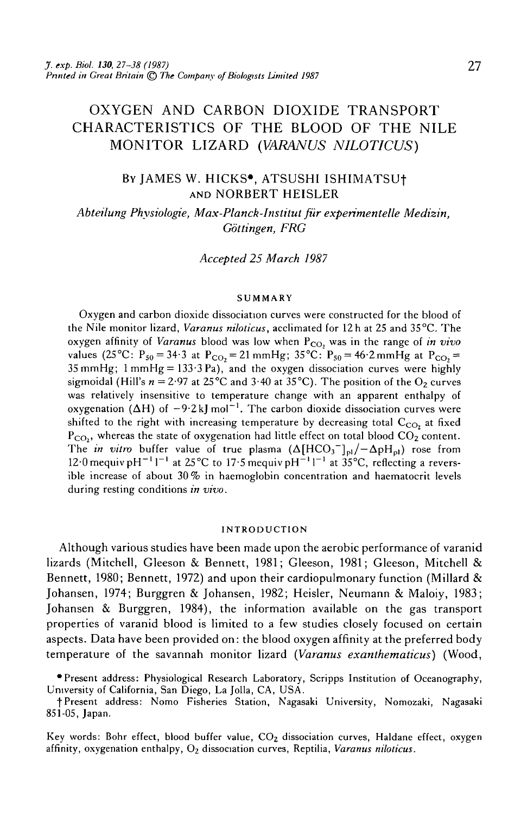# OXYGEN AND CARBON DIOXIDE TRANSPORT CHARACTERISTICS OF THE BLOOD OF THE NILE MONITOR LIZARD *(VARANUS NILOTICUS)*

# BY JAMES W. HICKS\*, ATSUSHI ISHIMATSUf AND NORBERT HEISLER

*Abteilung Physiologie, Max-Planck-Institut fur experimentelle Medizin, Gottingen, FRG*

*Accepted 25 March 1987*

#### **SUMMARY**

Oxygen and carbon dioxide dissociation curves were constructed for the blood of the Nile monitor lizard, *Varanus niloticus,* acclimated for 12h at 25 and 35°C. The oxygen affinity of *Varanus* blood was low when P<sub>CO</sub>, was in the range of *in vivo* values (25°C:  $P_{50} = 34.3$  at  $P_{CO_2} = 21$  mmHg; 35°C:  $P_{50} = 46.2$  mmHg at  $P_{CO_2} =$  $35$  mmHg;  $1$  mmHg =  $133.3$  Pa), and the oxygen dissociation curves were highly sigmoidal (Hill's  $n = 2.97$  at 25°C and 3.40 at 35°C). The position of the O<sub>2</sub> curves was relatively insensitive to temperature change with an apparent enthalpy of  $\overrightarrow{OAH}$  of  $-9.2$  kJ mol<sup>-1</sup>. The carbon dioxide dissociation curves were shifted to the right with increasing temperature by decreasing total  $C_{CO}$  at fixed  $P_{CO_2}$ , whereas the state of oxygenation had little effect on total blood  $CO_2$  content. The *in vitro* buffer value of true plasma  $(\Delta[\text{HCO}_3^-]_{\text{pl}}/-\Delta \text{pH}_{\text{pl}})$  rose from 12.0 mequiv pH<sup>-1</sup> l<sup>-1</sup> at 25°C to 17.5 mequiv pH<sup>-1</sup> l<sup>-1</sup> at 35°C, reflecting a reversible increase of about 30 % in haemoglobin concentration and haematocrit levels during resting conditions *in vivo.*

#### **INTRODUCTION**

Although various studies have been made upon the aerobic performance of varanid lizards (Mitchell, Gleeson & Bennett, 1981; Gleeson, 1981; Gleeson, Mitchell & Bennett, 1980; Bennett, 1972) and upon their cardiopulmonary function (Millard & Johansen, 1974; Burggren & Johansen, 1982; Heisler, Neumann & Maloiy, 1983; Johansen & Burggren, 1984), the information available on the gas transport properties of varanid blood is limited to a few studies closely focused on certain aspects. Data have been provided on: the blood oxygen affinity at the preferred body temperature of the savannah monitor lizard *(Varanus exanthematicus)* (Wood,

•Present address: Physiological Research Laboratory, Scripps Institution of Oceanography, University of California, San Diego, La Jolla, CA, USA.

f Present address: Nomo Fisheries Station, Nagasaki University, Nomozaki, Nagasaki 851-05, Japan.

Key words: Bohr effect, blood buffer value,  $CO<sub>2</sub>$  dissociation curves, Haldane effect, oxygen affinity, oxygenation enthalpy, O2 dissociation curves, Reptilia, *Varanus niloticus.*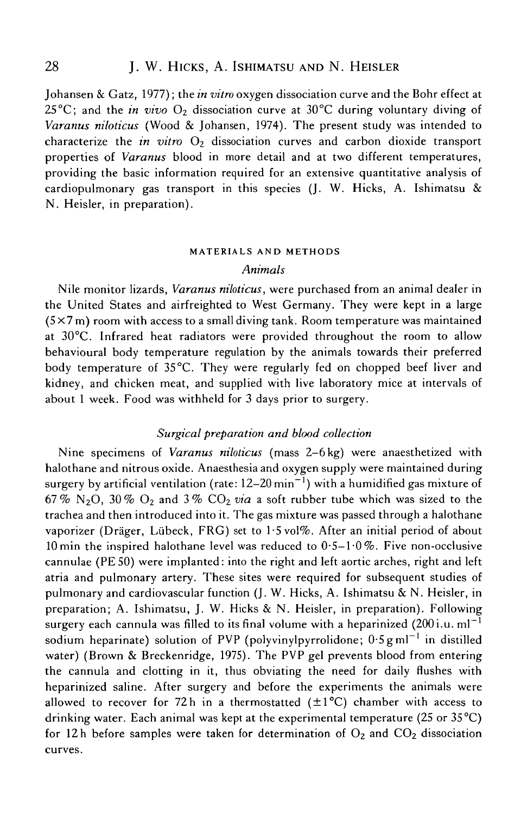Johansen & Gatz, 1977); the *in vitro* oxygen dissociation curve and the Bohr effect at 25 $\rm ^{\circ}C$ ; and the *in vivo*  $\rm O_2$  dissociation curve at 30 $\rm ^{\circ}C$  during voluntary diving of *Varanus niloticus* (Wood & Johansen, 1974). The present study was intended to characterize the *in vitro* O<sub>2</sub> dissociation curves and carbon dioxide transport properties of *Varanus* blood in more detail and at two different temperatures, providing the basic information required for an extensive quantitative analysis of cardiopulmonary gas transport in this species (J. W. Hicks, A. Ishimatsu & N. Heisler, in preparation).

# MATERIALS AND METHODS

# *Animals*

Nile monitor lizards, *Varanus niloticus,* were purchased from an animal dealer in the United States and airfreighted to West Germany. They were kept in a large  $(5 \times 7 \text{ m})$  room with access to a small diving tank. Room temperature was maintained at 30°C. Infrared heat radiators were provided throughout the room to allow behavioural body temperature regulation by the animals towards their preferred body temperature of 35°C. They were regularly fed on chopped beef liver and kidney, and chicken meat, and supplied with live laboratory mice at intervals of about 1 week. Food was withheld for 3 days prior to surgery.

# *Surgical preparation and blood collection*

Nine specimens of *Varanus niloticus* (mass 2-6 kg) were anaesthetized with halothane and nitrous oxide. Anaesthesia and oxygen supply were maintained during surgery by artificial ventilation (rate: 12–20  $\mathrm{min}^{-1})$  with a humidified gas mixture of 67% N<sub>2</sub>O, 30% O<sub>2</sub> and 3% CO<sub>2</sub> via a soft rubber tube which was sized to the trachea and then introduced into it. The gas mixture was passed through a halothane vaporizer (Dräger, Lübeck, FRG) set to  $1.5$  vol%. After an initial period of about 10 min the inspired halothane level was reduced to  $0.5-1.0\%$ . Five non-occlusive cannulae (PE 50) were implanted: into the right and left aortic arches, right and left atria and pulmonary artery. These sites were required for subsequent studies of pulmonary and cardiovascular function (J. W. Hicks, A. Ishimatsu & N. Heisler, in preparation; A. Ishimatsu, J. W. Hicks & N. Heisler, in preparation). Following surgery each cannula was filled to its final volume with a heparinized  $(200)$  i.u. ml<sup>-1</sup> sodium heparinate) solution of PVP (polyvinylpyrrolidone;  $0.5 \text{ g m}$ <sup>-1</sup> in distilled water) (Brown & Breckenridge, 1975). The PVP gel prevents blood from entering the cannula and clotting in it, thus obviating the need for daily flushes with heparinized saline. After surgery and before the experiments the animals were allowed to recover for 72h in a thermostatted  $(\pm 1^{\circ}C)$  chamber with access to drinking water. Each animal was kept at the experimental temperature (25 or 35 °C) for 12h before samples were taken for determination of  $O_2$  and  $CO_2$  dissociation curves.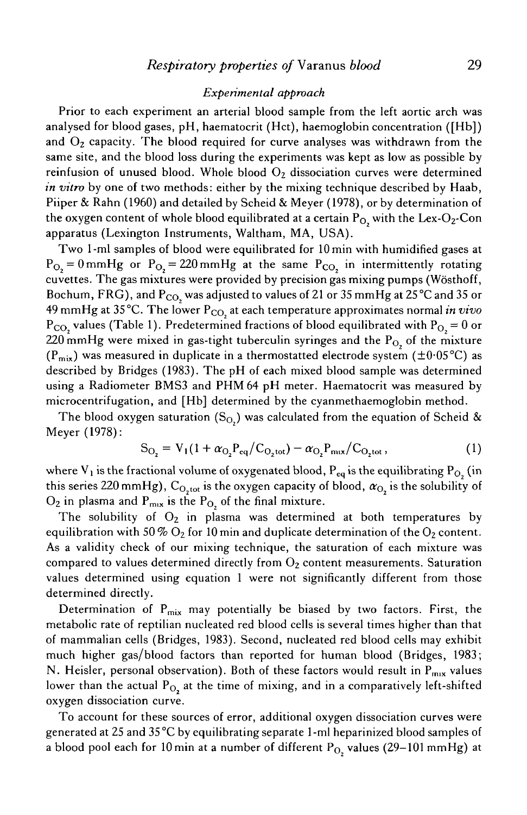# *Experimental approach*

Prior to each experiment an arterial blood sample from the left aortic arch was analysed for blood gases, pH, haematocrit (Hct), haemoglobin concentration ([Hb]) and  $O_2$  capacity. The blood required for curve analyses was withdrawn from the same site, and the blood loss during the experiments was kept as low as possible by reinfusion of unused blood. Whole blood  $O<sub>2</sub>$  dissociation curves were determined *in vitro* by one of two methods: either by the mixing technique described by Haab, Piiper & Rahn (1960) and detailed by Scheid & Meyer (1978), or by determination of the oxygen content of whole blood equilibrated at a certain  $P_{O_2}$  with the Lex-O<sub>2</sub>-Con apparatus (Lexington Instruments, Waltham, MA, USA).

Two 1-ml samples of blood were equilibrated for lOmin with humidified gases at  $P_{O_2} = 0$  mmHg or  $P_{O_2} = 220$  mmHg at the same  $P_{CO_2}$  in intermittently rotating cuvettes. The gas mixtures were provided by precision gas mixing pumps (Wosthoff, Bochum, FRG), and P<sub>CO,</sub> was adjusted to values of 21 or 35 mmHg at 25 °C and 35 or 49 mmHg at 35°C. The lower P<sub>CO,</sub> at each temperature approximates normal *in vivo*  $P_{CO}$ , values (Table 1). Predetermined fractions of blood equilibrated with  $P_{O} = 0$  or 220 mmHg were mixed in gas-tight tuberculin syringes and the  $P_{O_2}$  of the mixture  $(P<sub>mix</sub>)$  was measured in duplicate in a thermostatted electrode system ( $\pm 0.05$ °C) as described by Bridges (1983). The pH of each mixed blood sample was determined using a Radiometer BMS3 and PHM 64 pH meter. Haematocrit was measured by microcentrifugation, and [Hb] determined by the cyanmethaemoglobin method.

The blood oxygen saturation (S<sub>O</sub>,) was calculated from the equation of Scheid & Meyer (1978):

$$
S_{O_2} = V_1 (1 + \alpha_{O_2} P_{eq} / C_{O_2 tot}) - \alpha_{O_2} P_{mx} / C_{O_2 tot},
$$
 (1)

where  $V_1$  is the fractional volume of oxygenated blood,  $P_{eq}$  is the equilibrating  $P_{O_2}$  (in this series 220 mmHg),  $C_{O, tot}$  is the oxygen capacity of blood,  $\alpha_{O}$ , is the solubility of  $O_2$  in plasma and  $P_{\text{mix}}$  is the  $P_{O_2}$  of the final mixture.

The solubility of  $O_2$  in plasma was determined at both temperatures by equilibration with 50 %  $O_2$  for 10 min and duplicate determination of the  $O_2$  content. As a validity check of our mixing technique, the saturation of each mixture was compared to values determined directly from  $O_2$  content measurements. Saturation values determined using equation 1 were not significantly different from those determined directly.

Determination of  $P_{mix}$  may potentially be biased by two factors. First, the metabolic rate of reptilian nucleated red blood cells is several times higher than that of mammalian cells (Bridges, 1983). Second, nucleated red blood cells may exhibit much higher gas/blood factors than reported for human blood (Bridges, 1983; N. Heisler, personal observation). Both of these factors would result in  $P_{\text{max}}$  values lower than the actual  $P_{O_2}$  at the time of mixing, and in a comparatively left-shifted oxygen dissociation curve.

To account for these sources of error, additional oxygen dissociation curves were generated at 25 and 35 °C by equilibrating separate 1 -ml heparinized blood samples of a blood pool each for 10 min at a number of different  $P_{O_2}$  values (29-101 mmHg) at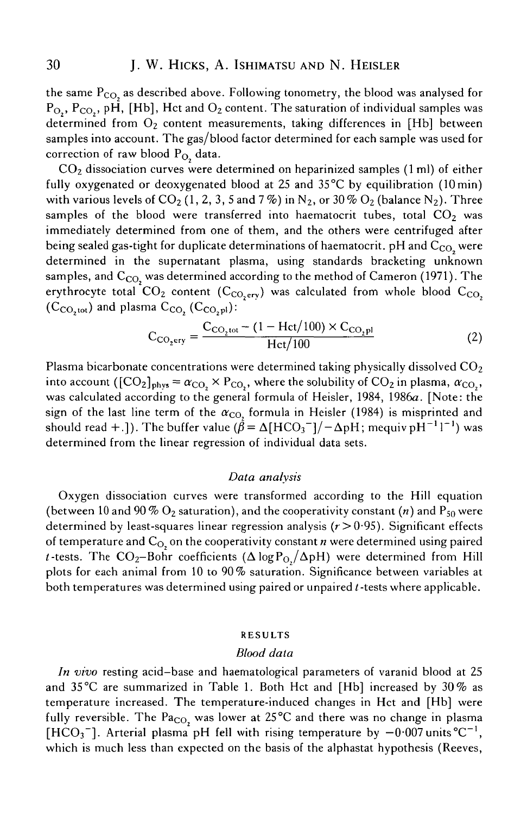the same  $P_{CO_2}$  as described above. Following tonometry, the blood was analysed for  $P_{O_2}$ ,  $P_{CO_2}$ , pH, [Hb], Hct and  $O_2$  content. The saturation of individual samples was determined from  $O_2$  content measurements, taking differences in [Hb] between samples into account. The gas/blood factor determined for each sample was used for correction of raw blood  $P_{O_2}$  data.

 $CO<sub>2</sub>$  dissociation curves were determined on heparinized samples (1 ml) of either fully oxygenated or deoxygenated blood at 25 and  $35^{\circ}$ C by equilibration (10 min) with various levels of CO<sub>2</sub> (1, 2, 3, 5 and 7%) in N<sub>2</sub>, or 30% O<sub>2</sub> (balance N<sub>2</sub>). Three samples of the blood were transferred into haematocrit tubes, total  $CO<sub>2</sub>$  was immediately determined from one of them, and the others were centrifuged after being sealed gas-tight for duplicate determinations of haematocrit. pH and  $C_{CO}$  were determined in the supernatant plasma, using standards bracketing unknown samples, and  $C_{\rm CO}$  was determined according to the method of Cameron (1971). The erythrocyte total  $CO_2$  content ( $C_{CO, \text{err}}$ ) was calculated from whole blood  $C_{CO_2}$  $(C_{CO, tot})$  and plasma  $C_{CO}$ ,  $(C_{CO, pl})$ :

$$
C_{CO_2ery} = \frac{C_{CO_2tot} - (1 - \text{Hct}/100) \times C_{CO_2pl}}{\text{Hct}/100}
$$
 (2)

Plasma bicarbonate concentrations were determined taking physically dissolved  $CO<sub>2</sub>$ into account ( $[CO_2]_{phys} = \alpha_{CO} \times P_{CO_2}$ , where the solubility of  $CO_2$  in plasma,  $\alpha_{CO_2}$ , was calculated according to the general formula of Heisler, 1984, 1986a. [Note: the sign of the last line term of the  $\alpha_{\text{CO}}$  formula in Heisler (1984) is misprinted and should read +.]). The buffer value ( $\dot{\beta} = \Delta[\mathrm{HCO_3}^-]/\!-\Delta\mathrm{pH}$ ; mequiv p $\mathrm{H}^{-1}\mathrm{1}^{-1})$  was determined from the linear regression of individual data sets.

### *Data analysis*

Oxygen dissociation curves were transformed according to the Hill equation (between 10 and 90 %  $O_2$  saturation), and the cooperativity constant (*n*) and  $P_{50}$  were determined by least-squares linear regression analysis (r>0- 95). Significant effects of temperature and  $C<sub>O</sub>$ , on the cooperativity constant  $n$  were determined using paired *t* -tests. The CO<sub>2</sub>-Bohr coefficients ( $\Delta$ logP<sub>O</sub>/ $\Delta$ pH) were determined from Hill plots for each animal from 10 to 90% saturation. Significance between variables at both temperatures was determined using paired or unpaired  $t$ -tests where applicable.

# RESULTS

### *Blood data*

*In vivo* resting acid-base and haematological parameters of varanid blood at 25 and 35 °C are summarized in Table 1. Both Hct and [Hb] increased by 30 % as temperature increased. The temperature-induced changes in Hct and [Hb] were fully reversible. The  $Pa_{CO}$ , was lower at 25°C and there was no change in plasma [HCO<sub>3</sub><sup>-</sup>]. Arterial plasma pH fell with rising temperature by  $-0.007$  units  $^{\circ}C^{-1}$ , which is much less than expected on the basis of the alphastat hypothesis (Reeves,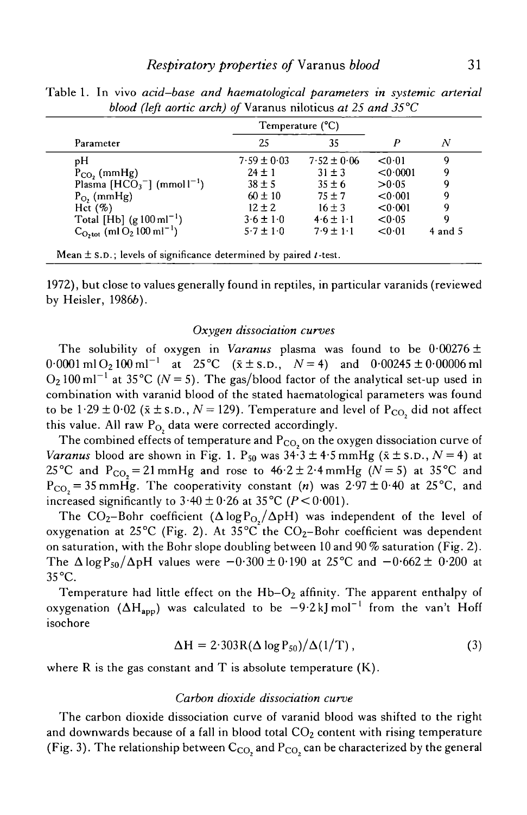| Parameter                                          | Temperature (°C) |                 |          |             |
|----------------------------------------------------|------------------|-----------------|----------|-------------|
|                                                    | 25               | 35              | P        | N           |
| pН                                                 | $7.59 \pm 0.03$  | $7.52 \pm 0.06$ | < 0.01   | 9           |
| $P_{CO_2}$ (mmHg)                                  | $24 \pm 1$       | $31 \pm 3$      | < 0.0001 | 9           |
| Plasma $[HCO3-] (mmol1)$                           | $38 \pm 5$       | $35 \pm 6$      | > 0.05   | 9           |
| $P_O$ , (mmHg)                                     | $60 \pm 10$      | $75 + 7$        | < 0.001  | 9           |
| Hct $(\%)$                                         | $12 \pm 2$       | $16 \pm 3$      | < 0.001  | 9           |
| Total [Hb] $(g 100 \text{ ml}^{-1})$               | $3.6 \pm 1.0$    | $4.6 \pm 1.1$   | < 0.05   | 9           |
| $C_{\text{O,tot}}$ (ml $O_2 100 \text{ ml}^{-1}$ ) | $5.7 \pm 1.0$    | $7.9 \pm 1.1$   | < 0.01   | $4$ and $5$ |

Table 1. In vivo *acid-base and haematological parameters in systemic arterial blood (left aortic arch) of* Varanus niloticus *at 25 and 35 °C*

Mean  $\pm$  s.p.; levels of significance determined by paired *t*-test.

1972), but close to values generally found in reptiles, in particular varanids (reviewed by Heisler, 1986b).

## *Oxygen dissociation curves*

The solubility of oxygen in *Varanus* plasma was found to be  $0.00276 \pm 1.00276$  $0.0001 \text{ ml } O_2 100 \text{ ml}^{-1}$  at  $25^{\circ}C$   $(\bar{x} \pm s.n., N = 4)$  and  $0.00245 \pm 0.00006 \text{ ml}$  $O_2 100 \text{ ml}^{-1}$  at 35 °C ( $N = 5$ ). The gas/blood factor of the analytical set-up used in combination with varanid blood of the stated haematological parameters was found to be  $1.29 \pm 0.02$  ( $\bar{x} \pm$  s.p.,  $N = 129$ ). Temperature and level of P<sub>CO,</sub> did not affect this value. All raw  $P_{O_2}$  data were corrected accordingly.

The combined effects of temperature and  $P_{\rm CO_2}$  on the oxygen dissociation curve o *Varanus* blood are shown in Fig. 1. P<sub>50</sub> was  $34\overline{3} \pm 4.5$  mmHg ( $\overline{x} \pm$  s.D.,  $N = 4$ ) at 25<sup>°</sup>C and P<sub>CO<sub>2</sub></sub> = 21 mmHg and rose to  $46.2 \pm 2.4$  mmHg (N = 5) at 35<sup>°</sup>C and  $P_{CO_2}$  = 35 mmHg. The cooperativity constant (n) was 2.97 ± 0.40 at 25 °C, and increased significantly to  $3.40 \pm 0.26$  at  $35^{\circ}$ C ( $P < 0.001$ ).

The CO<sub>2</sub>-Bohr coefficient ( $\Delta$ logP<sub>O</sub> $/\Delta$ pH) was independent of the level of oxygenation at 25<sup>°</sup>C (Fig. 2). At 35<sup>°</sup>C the  $CO<sub>2</sub>$ -Bohr coefficient was dependent on saturation, with the Bohr slope doubling between 10 and 90 % saturation (Fig. 2). The  $\Delta$ logP<sub>50</sub>/ $\Delta$ pH values were  $-0.300 \pm 0.190$  at 25 °C and  $-0.662 \pm 0.200$  at  $35^{\circ}$ C.

Temperature had little effect on the  $Hb-O<sub>2</sub>$  affinity. The apparent enthalpy of oxygenation ( $\Delta H_{\text{app}}$ ) was calculated to be  $-9.2 \text{ kJ} \text{ mol}^{-1}$  from the van't Hoff isochore

$$
\Delta H = 2.303 R (\Delta \log P_{50}) / \Delta (1/T), \qquad (3)
$$

where R is the gas constant and T is absolute temperature  $(K)$ .

# *Carbon dioxide dissociation curve*

The carbon dioxide dissociation curve of varanid blood was shifted to the right and downwards because of a fall in blood total  $CO<sub>2</sub>$  content with rising temperature (Fig. 3). The relationship between  $\rm C_{CO_2}$  and  $\rm P_{CO_2}$  can be characterized by the genera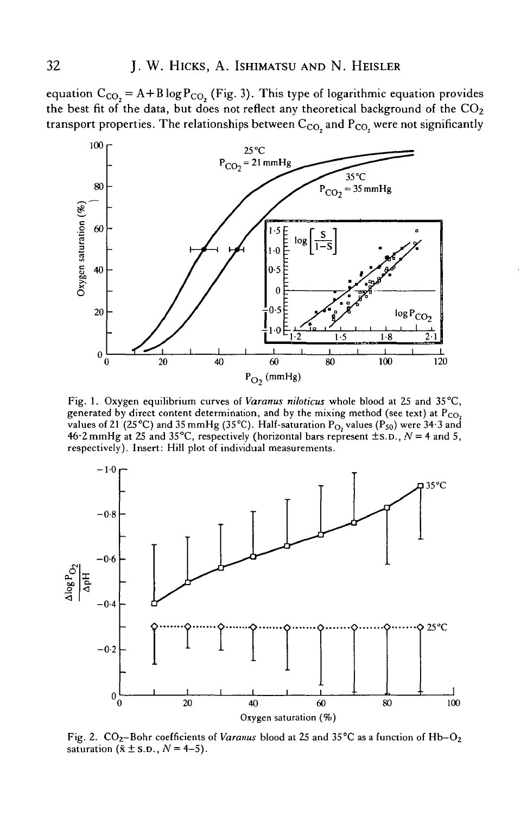equation  $C_{CO} = A + B \log P_{CO}$  (Fig. 3). This type of logarithmic equation provides the best fit of the data, but does not reflect any theoretical background of the  $CO<sub>2</sub>$ transport properties. The relationships between  $C_{CO}$  and  $P_{CO}$  were not significantly



Fig. 1. Oxygen equilibrium curves of *Varanus niloticus* whole blood at 25 and 35°C, generated by direct content determination, and by the mixing method (see text) at  $P_{CO_2}$ values of 21 (25°C) and 35 mmHg (35°C). Half-saturation  $P_{O_2}$  values ( $P_{50}$ ) were 34.3 and 46.2 mmHg at 25 and 35°C, respectively (horizontal bars represent  $\pm$  s.D.,  $N = 4$  and 5, respectively). Insert: Hill plot of individual measurements.



Fig. 2. CO<sub>2</sub>-Bohr coefficients of *Varanus* blood at 25 and 35°C as a function of Hb-O<sub>2</sub> saturation  $(\bar{x} \pm s.n., N = 4-5)$ .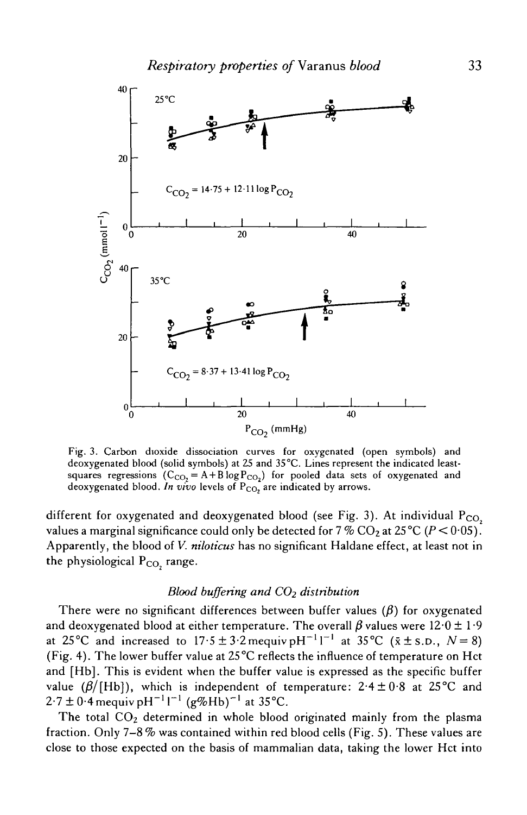

Fig. 3. Carbon dioxide dissociation curves for oxygenated (open symbols) and deoxygenated blood (solid symbols) at 25 and 35°C. Lines represent the indicated leastsquares regressions  $(C_{CO_2} = A + B \log P_{CO_2})$  for pooled data sets of oxygenated and deoxygenated blood. In vivo levels of P<sub>CO</sub>, are indicated by arrows.

different for oxygenated and deoxygenated blood (see Fig. 3). At individual  $P_{CO_2}$ values a marginal significance could only be detected for  $7\%$  CO<sub>2</sub> at  $25\degree C$  ( $P < 0.05$ ). Apparently, the blood of *V. niloticus* has no significant Haldane effect, at least not in the physiological  $P_{CO_2}$  range.

# *Blood buffering and CO2 distribution*

There were no significant differences between buffer values  $(\beta)$  for oxygenated and deoxygenated blood at either temperature. The overall  $\beta$  values were  $12.0 \pm 1.9$ at 25°C and increased to  $17.5 \pm 3.2$  mequiv pH<sup>-1</sup>1<sup>-1</sup> at 35°C ( $\bar{x} \pm$  s.D.,  $N=8$ ) (Fig. 4). The lower buffer value at 25 °C reflects the influence of temperature on Hct and [Hb]. This is evident when the buffer value is expressed as the specific buffer value ( $\beta$ /[Hb]), which is independent of temperature: 2.4 ± 0.8 at 25°C and  $2.7 \pm 0.4$  mequiv pH<sup>-1</sup>1<sup>-1</sup> (g%Hb)<sup>-1</sup> at 35°C.

The total CO<sub>2</sub> determined in whole blood originated mainly from the plasma fraction. Only 7—8 % was contained within red blood cells (Fig. 5). These values are close to those expected on the basis of mammalian data, taking the lower Hct into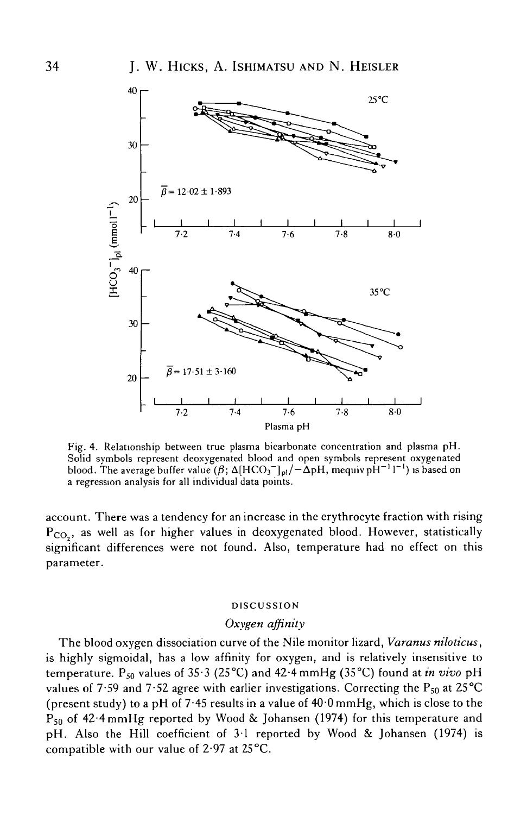

Fig. 4. Relationship between true plasma bicarbonate concentration and plasma pH. Solid symbols represent deoxygenated blood and open symbols represent oxygenated blood. The average buffer value  $(\beta;\Delta[\mathrm{HCO_3^-}]_{\mathrm{pl}}/-\Delta\mathrm{pH},$  mequiv pH $^{-1}$  l $^{-1}$ ) is based on a regression analysis for all individual data points.

account. There was a tendency for an increase in the erythrocyte fraction with rising  $P_{CO_2}$ , as well as for higher values in deoxygenated blood. However, statistically significant differences were not found. Also, temperature had no effect on this parameter.

## DISCUSSION

### *Oxygen affinity*

The blood oxygen dissociation curve of the Nile monitor lizard, *Varanus niloticus,* is highly sigmoidal, has a low affinity for oxygen, and is relatively insensitive to temperature. P<sub>50</sub> values of 35<sup>-</sup>3 (25<sup>o</sup>C) and 42<sup>-4</sup> mmHg (35<sup>o</sup>C) found at *in vivo* pH values of 7.59 and 7.52 agree with earlier investigations. Correcting the  $P_{50}$  at 25°C (present study) to a pH of 7.45 results in a value of  $40.0$  mmHg, which is close to the  $P_{50}$  of 42.4 mmHg reported by Wood & Johansen (1974) for this temperature and pH. Also the Hill coefficient of 31 reported by Wood & Johansen (1974) is compatible with our value of  $2.97$  at  $25^{\circ}$ C.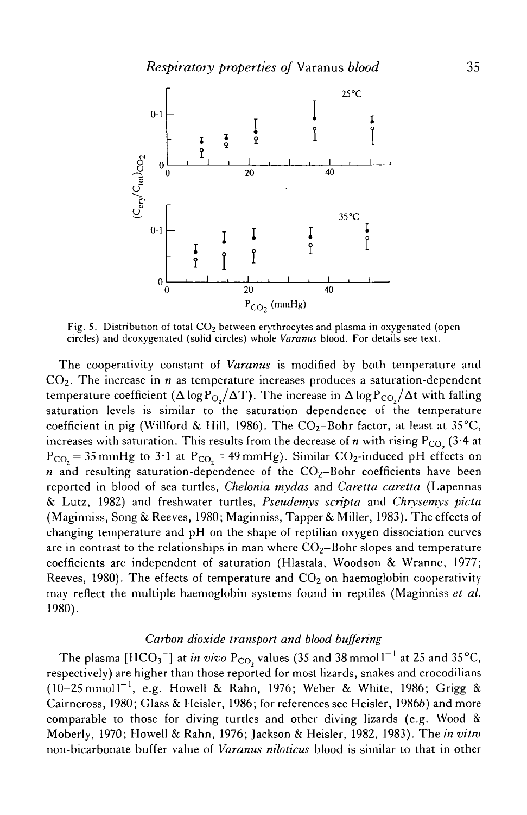

Fig. 5. Distribution of total  $CO<sub>2</sub>$  between erythrocytes and plasma in oxygenated (open circles) and deoxygenated (solid circles) whole *Varanus* blood. For details see text.

The cooperativity constant of *Varanus* is modified by both temperature and CO2. The increase in *n* as temperature increases produces a saturation-dependent temperature coefficient ( $\Delta \log P_{O} / \Delta T$ ). The increase in  $\Delta \log P_{CO} / \Delta t$  with falling saturation levels is similar to the saturation dependence of the temperature coefficient in pig (Willford & Hill, 1986). The  $CO<sub>2</sub>$ -Bohr factor, at least at 35<sup>°</sup>C, increases with saturation. This results from the decrease of  $n$  with rising  $P_{CO}$ , (3.4 at  $P_{CO_2}$  = 35 mmHg to 3.1 at  $P_{CO_2}$  = 49 mmHg). Similar CO<sub>2</sub>-induced pH effects on  $n$  and resulting saturation-dependence of the  $CO<sub>2</sub>$ -Bohr coefficients have been reported in blood of sea turtles, *Chelonia mydas* and *Caretta caretta* (Lapennas & Lutz, 1982) and freshwater turtles, *Pseudemvs scripta* and *Chrysemys picta* (Maginniss, Song & Reeves, 1980; Maginniss, Tapper & Miller, 1983). The effects of changing temperature and pH on the shape of reptilian oxygen dissociation curves are in contrast to the relationships in man where  $CO<sub>2</sub>$ -Bohr slopes and temperature coefficients are independent of saturation (Hlastala, Woodson & Wranne, 1977; Reeves, 1980). The effects of temperature and  $CO<sub>2</sub>$  on haemoglobin cooperativity may reflect the multiple haemoglobin systems found in reptiles (Maginniss *et al.* 1980).

# *Carbon dioxide transport and blood buffering*

The plasma [HCO<sub>3</sub><sup>-</sup>] at *in vivo* P<sub>CO,</sub> values (35 and 38 mmol1<sup>-1</sup> at 25 and 35 °C, respectively) are higher than those reported for most lizards, snakes and crocodilians  $(10-25 \text{ mmol})^{-1}$ , e.g. Howell & Rahn, 1976; Weber & White, 1986; Grigg & Cairncross, 1980; Glass & Heisler, 1986; for references see Heisler, 19866) and more comparable to those for diving turtles and other diving lizards (e.g. Wood & Moberly, 1970; Howell & Rahn, 1976; Jackson & Heisler, 1982, 1983). The *in vitro* non-bicarbonate buffer value of *Varanus niloticus* blood is similar to that in other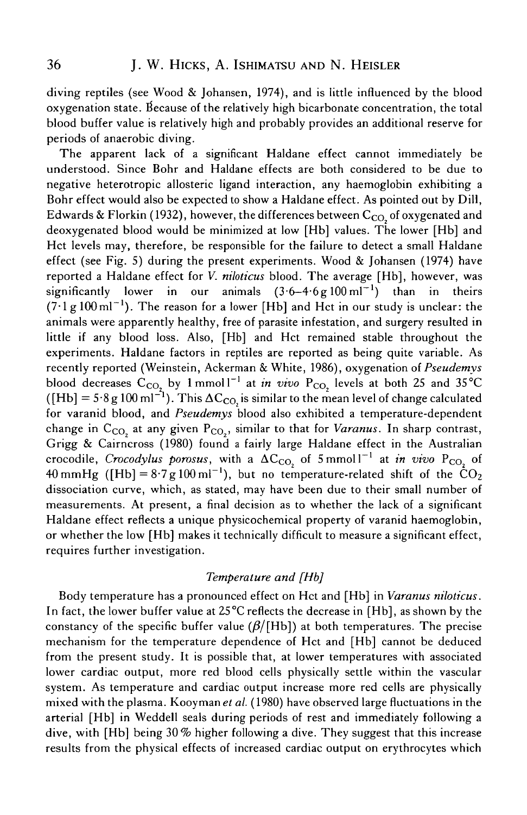diving reptiles (see Wood & Johansen, 1974), and is little influenced by the blood oxygenation state, because of the relatively high bicarbonate concentration, the total blood buffer value is relatively high and probably provides an additional reserve for periods of anaerobic diving.

The apparent lack of a significant Haldane effect cannot immediately be understood. Since Bohr and Haldane effects are both considered to be due to negative heterotropic allosteric ligand interaction, any haemoglobin exhibiting a Bohr effect would also be expected to show a Haldane effect. As pointed out by Dill, Edwards & Florkin (1932), however, the differences between  $C_{CO}$  of oxygenated and deoxygenated blood would be minimized at low [Hb] values. The lower [Hb] and Hct levels may, therefore, be responsible for the failure to detect a small Haldane effect (see Fig. 5) during the present experiments. Wood  $\&$  Johansen (1974) have reported a Haldane effect for *V. niloticus* blood. The average [Hb], however, was significantly lower in  $-6 - 4.6$  g 100 ml<sup>-1</sup> ) than in theirs  $(7.1 \text{ g } 100 \text{ m}^{-1})$ . The reason for a lower [Hb] and Hct in our study is unclear: the animals were apparently healthy, free of parasite infestation, and surgery resulted in little if any blood loss. Also, [Hb] and Hct remained stable throughout the experiments. Haldane factors in reptiles are reported as being quite variable. As recently reported (Weinstein, Ackerman & White, 1986), oxygenation of *Pseudemys* blood decreases  $C_{\text{CO}}$  by 1 mmol<sup>-1</sup> at *in vivo*  $P_{\text{CO}}$  levels at both 25 and 35<sup>°</sup>C ([Hb] =  $5.8$  g 100 ml<sup>-1</sup>). This  $\Delta C_{CO}$  is similar to the mean level of change calculated for varanid blood, and *Pseudemys* blood also exhibited a temperature-dependent change in  $C_{\text{CO}}$  at any given  $P_{\text{CO}}$ , similar to that for *Varanus*. In sharp contrast, Grigg & Cairncross (1980) found a fairly large Haldane effect in the Australian crocodile, Crocodylus porosus, with a  $\Delta C_{CO}$  of 5 mmol<sup>-1</sup> at in vivo P<sub>CO</sub> of 40 mmHg ([Hb] =  $8.7g100 \text{ m}^{-1}$ ), but no temperature-related shift of the  $CO_2$ dissociation curve, which, as stated, may have been due to their small number of measurements. At present, a final decision as to whether the lack of a significant Haldane effect reflects a unique physicochemical property of varanid haemoglobin, or whether the low [Hb] makes it technically difficult to measure a significant effect, requires further investigation.

# *Temperature and [Hb]*

Body temperature has a pronounced effect on Hct and [Hb] in *Varanus niloticus.* In fact, the lower buffer value at 25°C reflects the decrease in [Hb], as shown by the constancy of the specific buffer value  $(\beta/[\text{Hb}])$  at both temperatures. The precise mechanism for the temperature dependence of Hct and [Hb] cannot be deduced from the present study. It is possible that, at lower temperatures with associated lower cardiac output, more red blood cells physically settle within the vascular system. As temperature and cardiac output increase more red cells are physically mixed with the plasma. Kooyman *et al.* (1980) have observed large fluctuations in the arterial [Hb] in Weddell seals during periods of rest and immediately following a dive, with [Hb] being 30% higher following a dive. They suggest that this increase results from the physical effects of increased cardiac output on erythrocytes which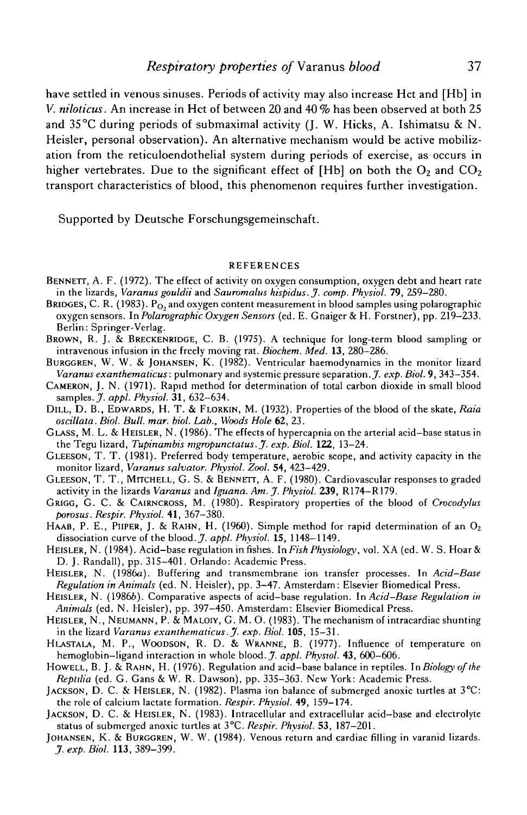have settled in venous sinuses. Periods of activity may also increase Hct and [Hb] in V. *niloticus.* An increase in Hct of between 20 and 40 % has been observed at both 25 and  $35^{\circ}$ C during periods of submaximal activity (J. W. Hicks, A. Ishimatsu & N. Heisler, personal observation). An alternative mechanism would be active mobilization from the reticuloendothelial system during periods of exercise, as occurs in higher vertebrates. Due to the significant effect of [Hb] on both the  $O_2$  and  $CO_2$ transport characteristics of blood, this phenomenon requires further investigation.

Supported by Deutsche Forschungsgemeinschaft.

#### REFERENCES

- BENNETT, A. F. (1972). The effect of activity on oxygen consumption, oxygen debt and heart rate in the lizards, *Varanus gouldii* and *Sauromalus hispidus.J. comp. Phvsiol.* 79, 259-280.
- BRIDGES, C. R. (1983).  $P_{\text{O}}$ , and oxygen content measurement in blood samples using polarographic oxygen sensors. In *Polarographic Oxygen Sensors* (ed. E. Gnaiger & H. Forstner), pp. 219-233. Berlin: Springer-Verlag.
- BROWN, R. J. & BRECKENRIDGE, C. B. (1975). A technique for long-term blood sampling or intravenous infusion in the freely moving rat. *Biochem. Med.* **13,** 280—286.
- BuRGGREN, W. W. & JOHANSEN, K. (1982). Ventricular haemodynamics in the monitor lizard *Varanus exanthematicus:* pulmonary and systemic pressure separation..7. *exp. Biol.* 9, 343-354.
- CAMERON, J. N. (1971). Rapid method for determination of total carbon dioxide in small blood samples. *J. appl. Physiol.* **31,** 632-634.
- DILL, D. B., EDWARDS, H. T. & FLORKIN, M. (1932). Properties of the blood of the skate, *Raia oscillata. Biol. Bull. mar. biol. Lab., Woods Hole* 62, 23.
- GLASS, M. L. & HEISLER, N. (1986). The effects of hypercapnia on the arterial acid-base status in the Tegu lizard, *Tupinambis mgropunctatus. J'. exp. Biol.* **122,** 13-24.
- GLEESON, T. T. (1981). Preferred body temperature, aerobic scope, and activity capacity in the monitor lizard, *Varanus salvator. Physiol. Zool.* 54, 423-429.
- GLEESON, T. T., MITCHELL, G. S. & BENNETT, A. F. (1980). Cardiovascular responses to graded activity in the lizards *Varanus* and *Iguana. Am. J. Physiol.* **239,** R174-R179.
- GRIGG, G. C. & CAIRNCROSS, M. (1980). Respiratory properties of the blood of *Crocodylus porosus. Respir. Physiol.* 41, 367-380.
- HAAB, P. E., PIIPER, J. & RAHN, H. (1960). Simple method for rapid determination of an  $O_2$ dissociation curve of the blood. J. *appl. Physiol.* **15,** 1148-1149.
- HEISLER, N. (1984). Acid-base regulation in fishes. In *Fish Physiology,* vol. XA (ed. W. S. Hoar& D. J. Randall), pp. 315-401. Orlando: Academic Press.
- HEISLER, N. (1986a). Buffering and transmembrane ion transfer processes. In *Acid-Base Regulation in Animals* (ed. N. Heisler), pp. 3-47. Amsterdam: Elsevier Biomedical Press.
- HEISLER, N. (19866). Comparative aspects of acid-base regulation. In *Acid-Base Regulation in Animals* (ed. N. Heisler), pp. 397-450. Amsterdam: Elsevier Biomedical Press.
- HEISLER, N., NEUMANN, P. & MALOIY, G. M. O. (1983). The mechanism of intracardiac shunting in the lizard *Varanus exanthematicus. J. exp. Biol.* **105,** 15-31.
- HLASTALA, M. P., WOODSON, R. D. & WRANNE, B. (1977). Influence of temperature on hemoglobin-ligand interaction in whole blood. *J. appl. Physiol.* 43, 600-606.
- HOWELL, B. J. & RAHN, H. (1976). Regulation and acid-base balance in reptiles. In *Biology of the Reptdia* (ed. G. Gans & W. R. Dawson), pp. 335-363. New York: Academic Press.
- JACKSON, D. C. & HEISLER, N. (1982). Plasma ion balance of submerged anoxic turtles at 3°C: the role of calcium lactate formation. *Respir. Physiol.* 49, 159-174.
- JACKSON, D. C. & HEISLER, N. (1983). Intracellular and extracellular acid-base and electrolyte status of submerged anoxic turtles at 3°C. *Respir. Physiol.* **53,** 187-201.
- JOHANSEN, K. & BURGGREN, W. W. (1984). Venous return and cardiac filling in varanid lizards. *J. exp. Biol.* **113,** 389-399.